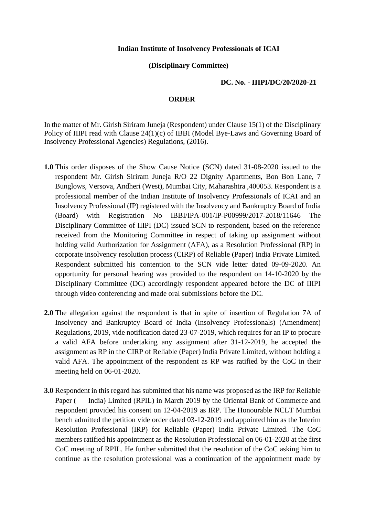## **Indian Institute of Insolvency Professionals of ICAI**

## **(Disciplinary Committee)**

## **DC. No. - IIIPI/DC/20/2020-21**

## **ORDER**

In the matter of Mr. Girish Siriram Juneja (Respondent) under Clause 15(1) of the Disciplinary Policy of IIIPI read with Clause 24(1)(c) of IBBI (Model Bye-Laws and Governing Board of Insolvency Professional Agencies) Regulations, (2016).

- **1.0** This order disposes of the Show Cause Notice (SCN) dated 31-08-2020 issued to the respondent Mr. Girish Siriram Juneja R/O 22 Dignity Apartments, Bon Bon Lane, 7 Bunglows, Versova, Andheri (West), Mumbai City, Maharashtra ,400053. Respondent is a professional member of the Indian Institute of Insolvency Professionals of ICAI and an Insolvency Professional (IP) registered with the Insolvency and Bankruptcy Board of India (Board) with Registration No IBBI/IPA-001/IP-P00999/2017-2018/11646 The Disciplinary Committee of IIIPI (DC) issued SCN to respondent, based on the reference received from the Monitoring Committee in respect of taking up assignment without holding valid Authorization for Assignment (AFA), as a Resolution Professional (RP) in corporate insolvency resolution process (CIRP) of Reliable (Paper) India Private Limited. Respondent submitted his contention to the SCN vide letter dated 09-09-2020. An opportunity for personal hearing was provided to the respondent on 14-10-2020 by the Disciplinary Committee (DC) accordingly respondent appeared before the DC of IIIPI through video conferencing and made oral submissions before the DC.
- **2.0** The allegation against the respondent is that in spite of insertion of Regulation 7A of Insolvency and Bankruptcy Board of India (Insolvency Professionals) (Amendment) Regulations, 2019, vide notification dated 23-07-2019, which requires for an IP to procure a valid AFA before undertaking any assignment after 31-12-2019, he accepted the assignment as RP in the CIRP of Reliable (Paper) India Private Limited, without holding a valid AFA. The appointment of the respondent as RP was ratified by the CoC in their meeting held on 06-01-2020.
- **3.0** Respondent in this regard has submitted that his name was proposed as the IRP for Reliable Paper (India) Limited (RPIL) in March 2019 by the Oriental Bank of Commerce and respondent provided his consent on 12-04-2019 as IRP. The Honourable NCLT Mumbai bench admitted the petition vide order dated 03-12-2019 and appointed him as the Interim Resolution Professional (IRP) for Reliable (Paper) India Private Limited. The CoC members ratified his appointment as the Resolution Professional on 06-01-2020 at the first CoC meeting of RPIL. He further submitted that the resolution of the CoC asking him to continue as the resolution professional was a continuation of the appointment made by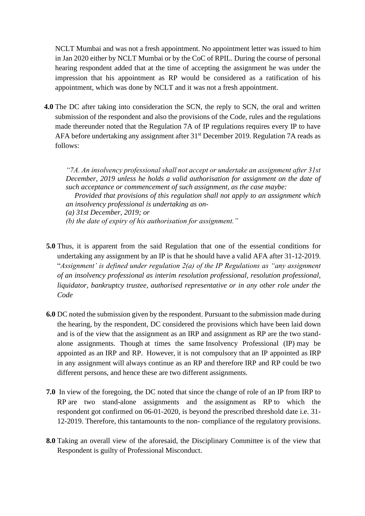NCLT Mumbai and was not a fresh appointment. No appointment letter was issued to him in Jan 2020 either by NCLT Mumbai or by the CoC of RPIL. During the course of personal hearing respondent added that at the time of accepting the assignment he was under the impression that his appointment as RP would be considered as a ratification of his appointment, which was done by NCLT and it was not a fresh appointment.

**4.0** The DC after taking into consideration the SCN, the reply to SCN, the oral and written submission of the respondent and also the provisions of the Code, rules and the regulations made thereunder noted that the Regulation 7A of IP regulations requires every IP to have AFA before undertaking any assignment after 31st December 2019. Regulation 7A reads as follows:

*"7A. An insolvency professional shall not accept or undertake an assignment after 31st December, 2019 unless he holds a valid authorisation for assignment on the date of such acceptance or commencement of such assignment, as the case maybe:* 

*Provided that provisions of this regulation shall not apply to an assignment which an insolvency professional is undertaking as on-*

- *(a) 31st December, 2019; or*
- *(b) the date of expiry of his authorisation for assignment."*
- **5.0** Thus, it is apparent from the said Regulation that one of the essential conditions for undertaking any assignment by an IP is that he should have a valid AFA after 31-12-2019. "*Assignment' is defined under regulation 2(a) of the IP Regulations as "any assignment of an insolvency professional as interim resolution professional, resolution professional, liquidator, bankruptcy trustee, authorised representative or in any other role under the Code*
- **6.0** DC noted the submission given by the respondent. Pursuant to the submission made during the hearing, by the respondent, DC considered the provisions which have been laid down and is of the view that the assignment as an IRP and assignment as RP are the two standalone assignments. Though at times the same Insolvency Professional (IP) may be appointed as an IRP and RP. However, it is not compulsory that an IP appointed as IRP in any assignment will always continue as an RP and therefore IRP and RP could be two different persons, and hence these are two different assignments.
- **7.0** In view of the foregoing, the DC noted that since the change of role of an IP from IRP to RP are two stand-alone assignments and the assignment as RP to which the respondent got confirmed on 06-01-2020, is beyond the prescribed threshold date i.e. 31- 12-2019. Therefore, this tantamounts to the non- compliance of the regulatory provisions.
- **8.0** Taking an overall view of the aforesaid, the Disciplinary Committee is of the view that Respondent is guilty of Professional Misconduct.